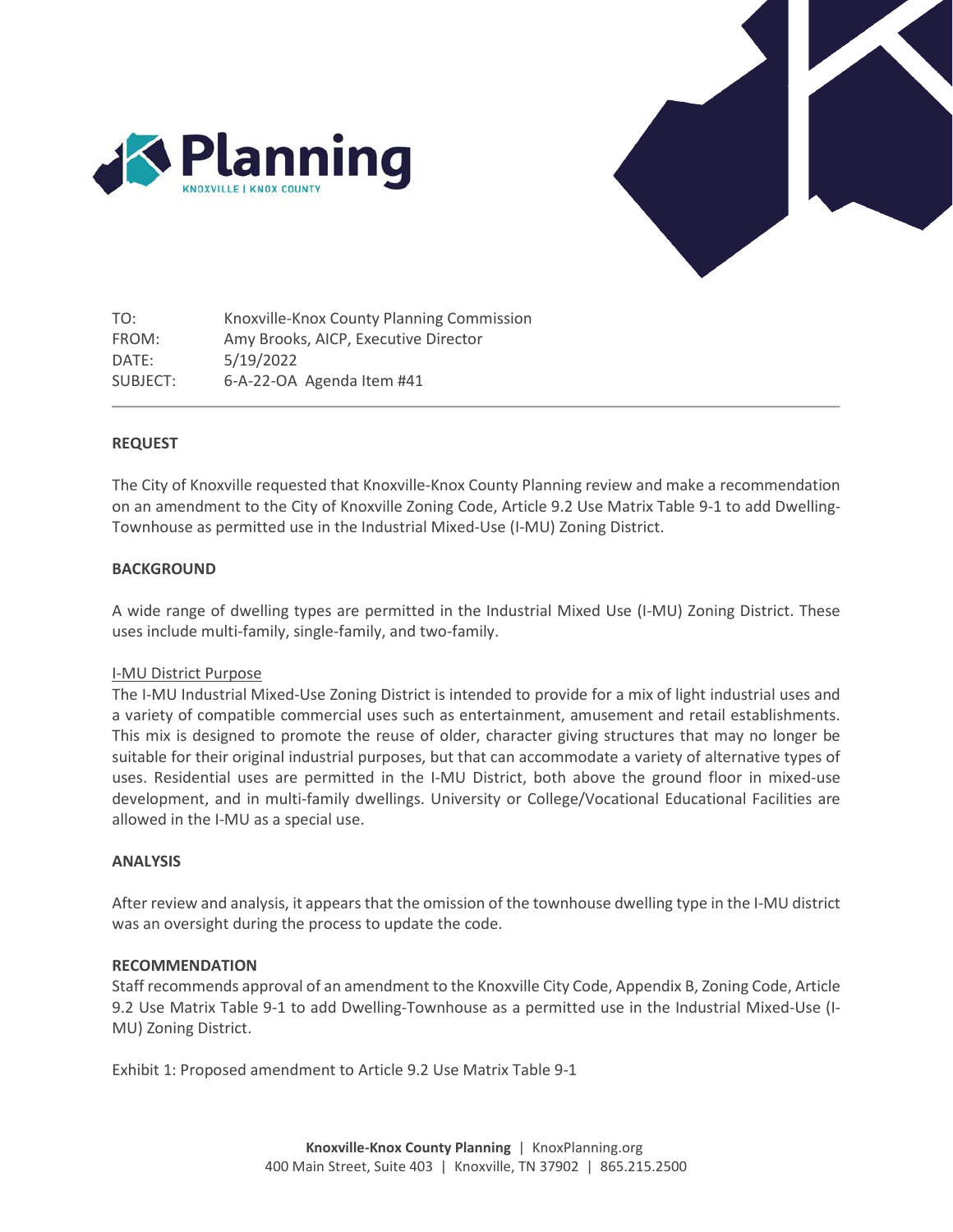



TO: FROM: DATE: SUBJECT: Knoxville-Knox County Planning Commission Amy Brooks, AICP, Executive Director 5/19/2022 6-A-22-OA Agenda Item #41

#### **REQUEST**

The City of Knoxville requested that Knoxville-Knox County Planning review and make a recommendation on an amendment to the City of Knoxville Zoning Code, Article 9.2 Use Matrix Table 9-1 to add Dwelling-Townhouse as permitted use in the Industrial Mixed-Use (I-MU) Zoning District.

#### **BACKGROUND**

A wide range of dwelling types are permitted in the Industrial Mixed Use (I-MU) Zoning District. These uses include multi-family, single-family, and two-family.

#### I-MU District Purpose

The I-MU Industrial Mixed-Use Zoning District is intended to provide for a mix of light industrial uses and a variety of compatible commercial uses such as entertainment, amusement and retail establishments. This mix is designed to promote the reuse of older, character giving structures that may no longer be suitable for their original industrial purposes, but that can accommodate a variety of alternative types of uses. Residential uses are permitted in the I-MU District, both above the ground floor in mixed-use development, and in multi-family dwellings. University or College/Vocational Educational Facilities are allowed in the I-MU as a special use.

#### **ANALYSIS**

After review and analysis, it appears that the omission of the townhouse dwelling type in the I-MU district was an oversight during the process to update the code.

#### **RECOMMENDATION**

Staff recommends approval of an amendment to the Knoxville City Code, Appendix B, Zoning Code, Article 9.2 Use Matrix Table 9-1 to add Dwelling-Townhouse as a permitted use in the Industrial Mixed-Use (I-MU) Zoning District.

Exhibit 1: Proposed amendment to Article 9.2 Use Matrix Table 9-1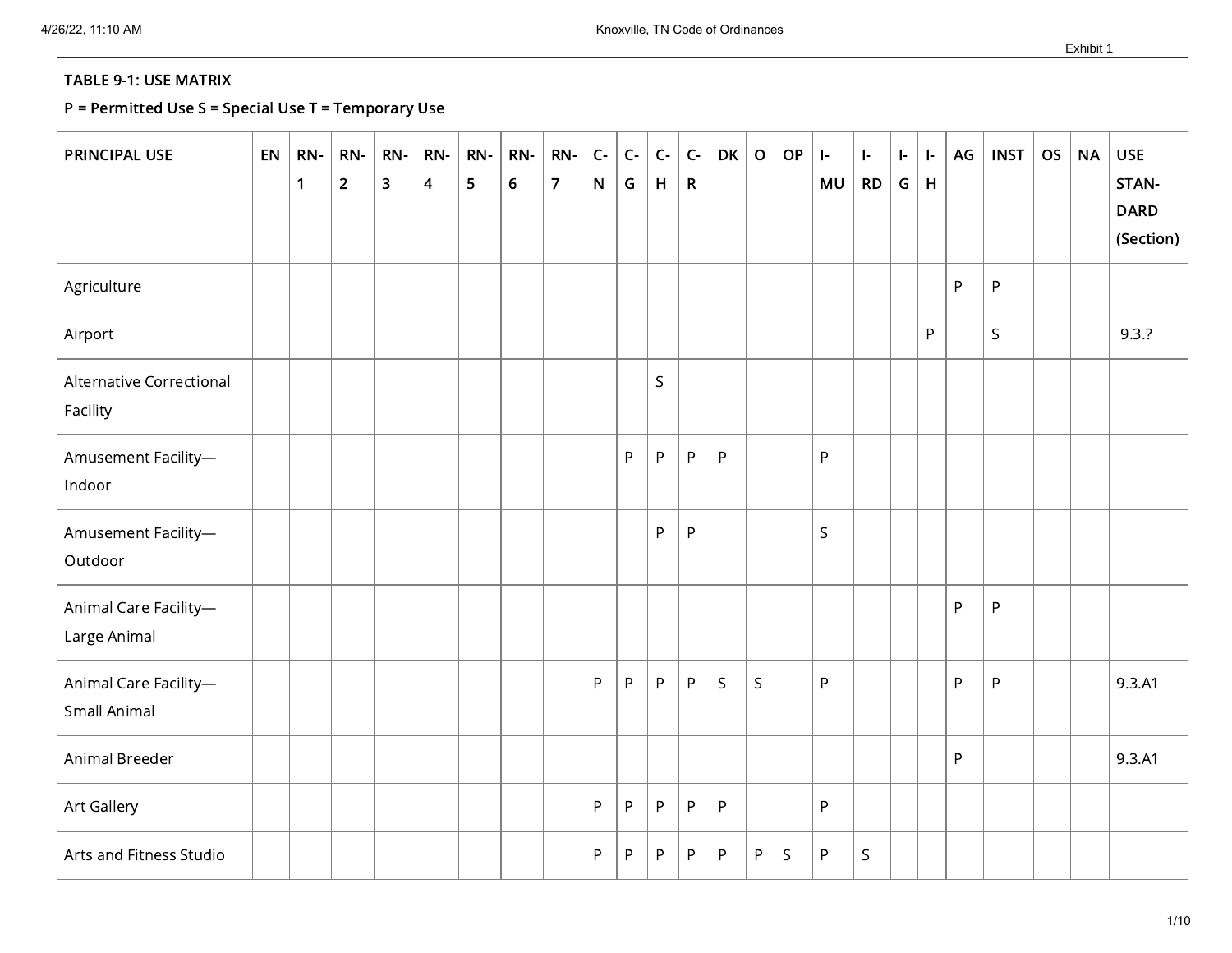| PRINCIPAL USE                         | EN | RN-<br>$\mathbf{1}$ | RN-<br>$\overline{2}$ | RN-<br>$\overline{\mathbf{3}}$ | RN-<br>$\overline{\mathbf{4}}$ | RN-<br>5 | RN-<br>$\bf 6$ | RN-<br>$\overline{7}$ | $C -$<br>${\sf N}$ | $\mathsf{C}\text{-}$<br>G | $\mathsf{C}\text{-}$<br>H | $\mathsf{C}\text{-}$<br>$\mathsf{R}$ | <b>DK</b>   | $\mathsf{o}$ | OP           | $\mathbf{I}$<br>MU | $\vert$ -<br><b>RD</b> | ŀ.<br>G | ŀ.<br>$\mathsf H$ | AG | <b>INST</b> | <b>OS</b> | <b>NA</b> | <b>USE</b><br>STAN-<br><b>DARD</b><br>(Section) |
|---------------------------------------|----|---------------------|-----------------------|--------------------------------|--------------------------------|----------|----------------|-----------------------|--------------------|---------------------------|---------------------------|--------------------------------------|-------------|--------------|--------------|--------------------|------------------------|---------|-------------------|----|-------------|-----------|-----------|-------------------------------------------------|
| Agriculture                           |    |                     |                       |                                |                                |          |                |                       |                    |                           |                           |                                      |             |              |              |                    |                        |         |                   | P  | P           |           |           |                                                 |
| Airport                               |    |                     |                       |                                |                                |          |                |                       |                    |                           |                           |                                      |             |              |              |                    |                        |         | P                 |    | S           |           |           | 9.3.7                                           |
| Alternative Correctional<br>Facility  |    |                     |                       |                                |                                |          |                |                       |                    |                           | $\mathsf S$               |                                      |             |              |              |                    |                        |         |                   |    |             |           |           |                                                 |
| Amusement Facility-<br>Indoor         |    |                     |                       |                                |                                |          |                |                       |                    | P                         | P                         | P                                    | $\sf P$     |              |              | P                  |                        |         |                   |    |             |           |           |                                                 |
| Amusement Facility-<br>Outdoor        |    |                     |                       |                                |                                |          |                |                       |                    |                           | P                         | ${\sf P}$                            |             |              |              | $\mathsf{S}$       |                        |         |                   |    |             |           |           |                                                 |
| Animal Care Facility-<br>Large Animal |    |                     |                       |                                |                                |          |                |                       |                    |                           |                           |                                      |             |              |              |                    |                        |         |                   | P  | P           |           |           |                                                 |
| Animal Care Facility-<br>Small Animal |    |                     |                       |                                |                                |          |                |                       | P                  | P                         | P                         | P                                    | $\mathsf S$ | S.           |              | P                  |                        |         |                   | P  | $\sf P$     |           |           | 9.3.A1                                          |
| Animal Breeder                        |    |                     |                       |                                |                                |          |                |                       |                    |                           |                           |                                      |             |              |              |                    |                        |         |                   | P  |             |           |           | 9.3.A1                                          |
| Art Gallery                           |    |                     |                       |                                |                                |          |                |                       | P                  | P                         | $\sf P$                   | P                                    | ${\sf P}$   |              |              | P                  |                        |         |                   |    |             |           |           |                                                 |
| Arts and Fitness Studio               |    |                     |                       |                                |                                |          |                |                       | P                  | P                         | P                         | P                                    | P           | P            | $\mathsf{S}$ | P                  | $\mathsf S$            |         |                   |    |             |           |           |                                                 |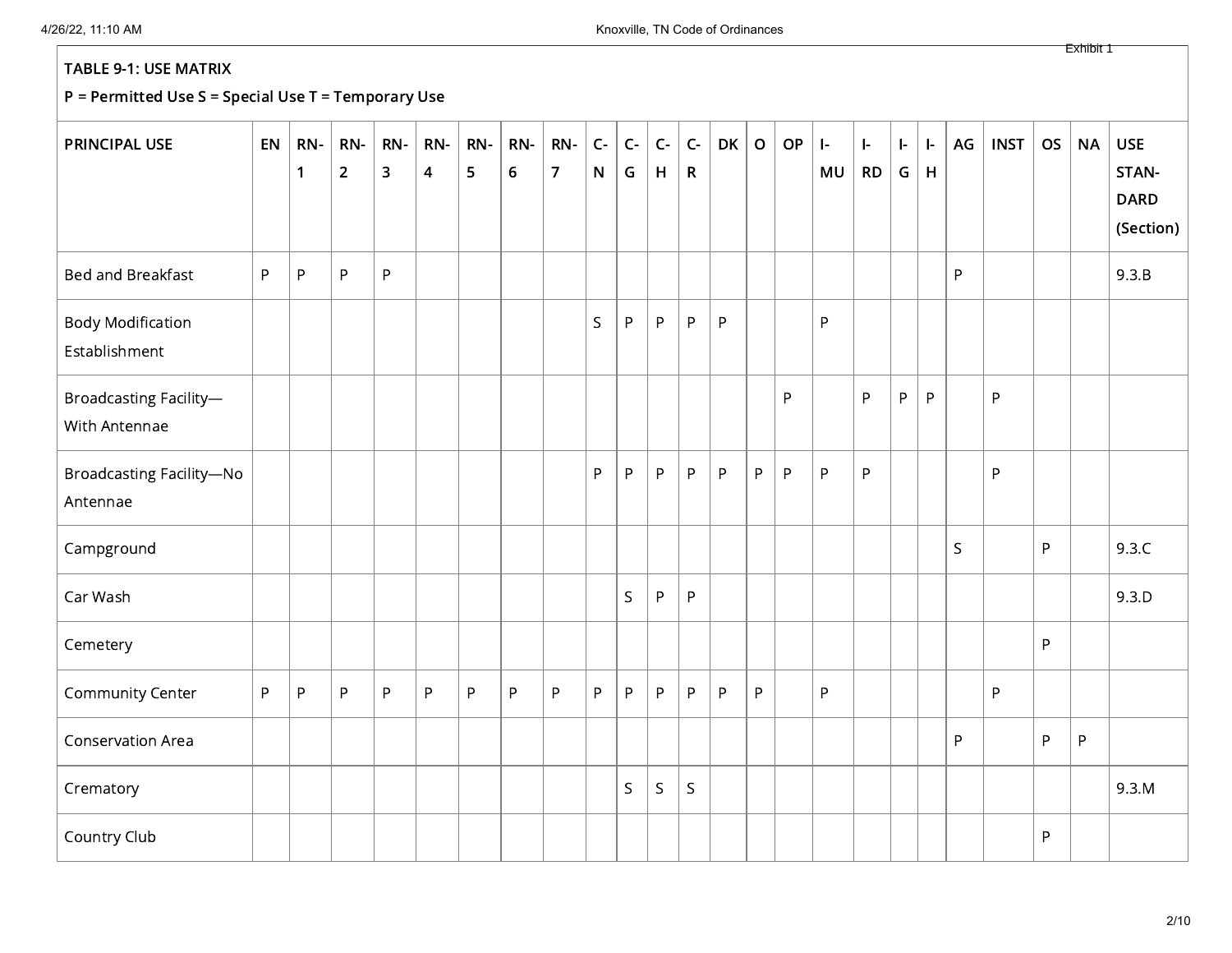## P = Permitted Use S = Special Use T = Temporary Use

| <b>PRINCIPAL USE</b>                        | EN           | RN-<br>$\mathbf{1}$ | RN-<br>$\overline{2}$ | RN-<br>$\overline{\mathbf{3}}$ | RN-<br>$\overline{\mathbf{4}}$ | RN-<br>5 | RN-<br>$\boldsymbol{6}$ | RN-<br>$\overline{7}$ | $C-$<br>$\mathsf{N}$ | $C-$<br>G   | $C-$<br>H | $C -$<br>$\mathsf{R}$ | <b>DK</b> | $\mathbf O$ | OP           | $\left  \cdot \right $<br>MU | $\mathbf{I}$<br><b>RD</b> | ŀ.<br>G | ŀ.<br>H   | AG | <b>INST</b>  | <b>OS</b> | <b>NA</b> | <b>USE</b><br>STAN-<br><b>DARD</b><br>(Section) |
|---------------------------------------------|--------------|---------------------|-----------------------|--------------------------------|--------------------------------|----------|-------------------------|-----------------------|----------------------|-------------|-----------|-----------------------|-----------|-------------|--------------|------------------------------|---------------------------|---------|-----------|----|--------------|-----------|-----------|-------------------------------------------------|
| Bed and Breakfast                           | P            | $\sf P$             | $\sf P$               | $\sf P$                        |                                |          |                         |                       |                      |             |           |                       |           |             |              |                              |                           |         |           | P  |              |           |           | 9.3.B                                           |
| <b>Body Modification</b><br>Establishment   |              |                     |                       |                                |                                |          |                         |                       | $\mathsf{S}$         | P           | P.        | P                     | P         |             |              | P                            |                           |         |           |    |              |           |           |                                                 |
| Broadcasting Facility-<br>With Antennae     |              |                     |                       |                                |                                |          |                         |                       |                      |             |           |                       |           |             | $\mathsf{P}$ |                              | P                         | P       | ${\sf P}$ |    | $\mathsf{P}$ |           |           |                                                 |
| <b>Broadcasting Facility-No</b><br>Antennae |              |                     |                       |                                |                                |          |                         |                       | P                    | P           | P         | $\mathsf P$           | ${\sf P}$ | P           | P            | ${\sf P}$                    | ${\sf P}$                 |         |           |    | $\sf P$      |           |           |                                                 |
| Campground                                  |              |                     |                       |                                |                                |          |                         |                       |                      |             |           |                       |           |             |              |                              |                           |         |           | S  |              | P         |           | 9.3.C                                           |
| Car Wash                                    |              |                     |                       |                                |                                |          |                         |                       |                      | $\mathsf S$ | P         | P                     |           |             |              |                              |                           |         |           |    |              |           |           | 9.3.D                                           |
| Cemetery                                    |              |                     |                       |                                |                                |          |                         |                       |                      |             |           |                       |           |             |              |                              |                           |         |           |    |              | P         |           |                                                 |
| <b>Community Center</b>                     | $\mathsf{P}$ | ${\sf P}$           | ${\sf P}$             | $\sf P$                        | P                              | P        | $\mathsf P$             | P                     | P                    | P           | P         | P                     | ${\sf P}$ | P           |              | P                            |                           |         |           |    | P            |           |           |                                                 |
| Conservation Area                           |              |                     |                       |                                |                                |          |                         |                       |                      |             |           |                       |           |             |              |                              |                           |         |           | P  |              | ${\sf P}$ | $\sf P$   |                                                 |
| Crematory                                   |              |                     |                       |                                |                                |          |                         |                       |                      | $\mathsf S$ | S.        | S                     |           |             |              |                              |                           |         |           |    |              |           |           | 9.3.M                                           |
| Country Club                                |              |                     |                       |                                |                                |          |                         |                       |                      |             |           |                       |           |             |              |                              |                           |         |           |    |              | P         |           |                                                 |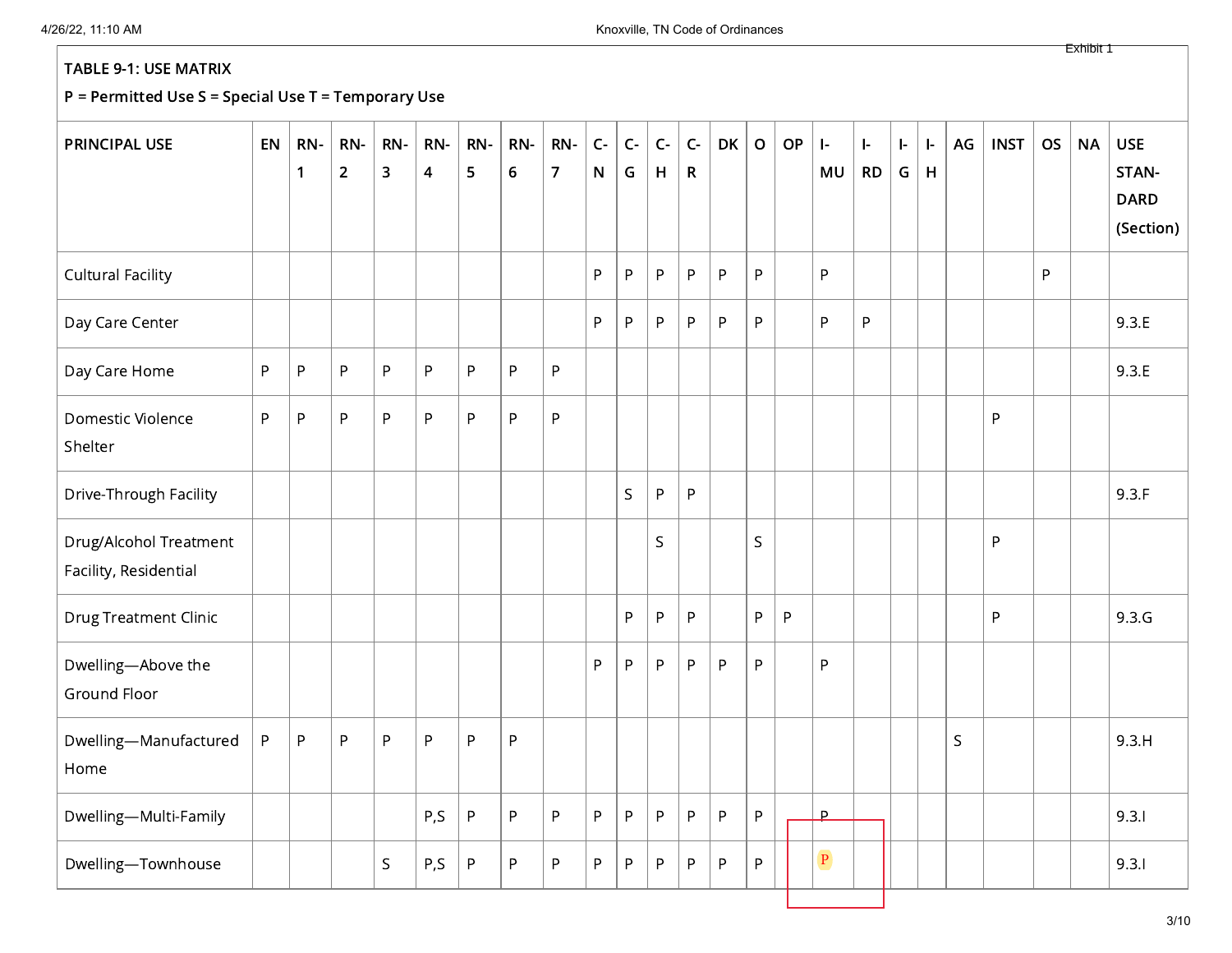| <b>PRINCIPAL USE</b>                            | EN        | RN-<br>$\mathbf{1}$ | RN-<br>$\overline{2}$ | RN-<br>$\mathbf{3}$ | RN-<br>4 | RN-<br>5     | RN-<br>$\boldsymbol{6}$ | RN-<br>$\overline{7}$ | $C-$<br>N | $C-$<br>G    | $C-$<br>H | $C -$<br>$\mathsf R$ | <b>DK</b> | $\mathbf{o}$ | OP           | $\vert$ -<br>MU | $\mathbf{I}$<br><b>RD</b> | $\vert$ -<br>G | ŀ.<br>H | AG | <b>INST</b> | <b>OS</b> | <b>NA</b> | <b>USE</b><br>STAN-<br><b>DARD</b><br>(Section) |
|-------------------------------------------------|-----------|---------------------|-----------------------|---------------------|----------|--------------|-------------------------|-----------------------|-----------|--------------|-----------|----------------------|-----------|--------------|--------------|-----------------|---------------------------|----------------|---------|----|-------------|-----------|-----------|-------------------------------------------------|
| <b>Cultural Facility</b>                        |           |                     |                       |                     |          |              |                         |                       | P         | $\mathsf{P}$ | P         | P                    | ${\sf P}$ | P            |              | P               |                           |                |         |    |             | P         |           |                                                 |
| Day Care Center                                 |           |                     |                       |                     |          |              |                         |                       | P         | $\mathsf{P}$ | P.        | P                    | P         | P            |              | P               | P                         |                |         |    |             |           |           | 9.3.E                                           |
| Day Care Home                                   | ${\sf P}$ | $\sf P$             | $\sf P$               | $\mathsf{P}$        | P        | $\mathsf{P}$ | P                       | $\sf P$               |           |              |           |                      |           |              |              |                 |                           |                |         |    |             |           |           | 9.3.E                                           |
| Domestic Violence<br>Shelter                    | P         | $\sf P$             | P                     | P                   | P        | P            | $\sf P$                 | $\sf P$               |           |              |           |                      |           |              |              |                 |                           |                |         |    | $\sf P$     |           |           |                                                 |
| Drive-Through Facility                          |           |                     |                       |                     |          |              |                         |                       |           | $\mathsf{S}$ | P         | P                    |           |              |              |                 |                           |                |         |    |             |           |           | 9.3.F                                           |
| Drug/Alcohol Treatment<br>Facility, Residential |           |                     |                       |                     |          |              |                         |                       |           |              | S.        |                      |           | S            |              |                 |                           |                |         |    | $\sf P$     |           |           |                                                 |
| <b>Drug Treatment Clinic</b>                    |           |                     |                       |                     |          |              |                         |                       |           | P            | P         | P                    |           | P            | $\mathsf{P}$ |                 |                           |                |         |    | P           |           |           | 9.3.G                                           |
| Dwelling-Above the<br>Ground Floor              |           |                     |                       |                     |          |              |                         |                       | P         | P            | P         | P                    | P         | P            |              | P               |                           |                |         |    |             |           |           |                                                 |
| Dwelling-Manufactured<br>Home                   | P         | P                   | P                     | ${\sf P}$           | P        | P            | P                       |                       |           |              |           |                      |           |              |              |                 |                           |                |         | S  |             |           |           | 9.3.H                                           |
| Dwelling-Multi-Family                           |           |                     |                       |                     | P,S      | P            | P                       | P                     | P         | $\mathsf{P}$ | P.        | P                    | P         | P            |              | <b>P</b>        |                           |                |         |    |             |           |           | 9.3.1                                           |
| Dwelling-Townhouse                              |           |                     |                       | $\mathsf S$         | P,S      | P            | ${\sf P}$               | P                     | P         | $\sf P$      | P         | P                    | ${\sf P}$ | P            |              | $\overline{P}$  |                           |                |         |    |             |           |           | 9.3.1                                           |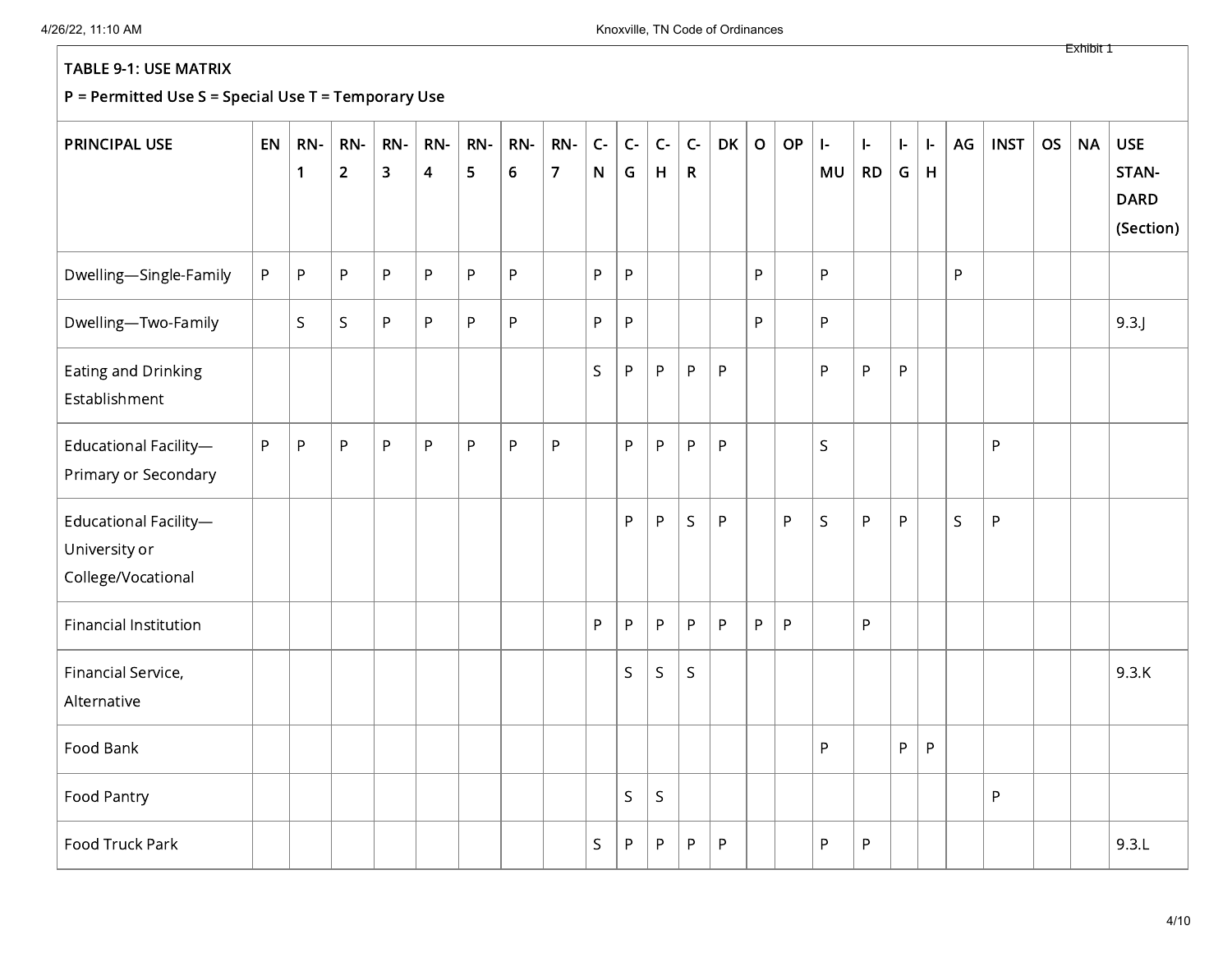## P = Permitted Use S = Special Use T = Temporary Use

| <b>PRINCIPAL USE</b>                                         | EN | RN-<br>$\mathbf{1}$ | RN-<br>$\overline{2}$ | RN-<br>$\overline{\mathbf{3}}$ | RN-<br>$\overline{\mathbf{4}}$ | RN-<br>5 | RN-<br>$\boldsymbol{6}$ | RN-<br>$\overline{7}$ | $C -$<br>${\sf N}$ | $C -$<br>G  | $C-$<br>H    | $C -$<br>$\mathsf{R}$ | DK      | $\mathbf O$ | OP           | $\mathsf{I}\text{-}$<br>MU | $\mathbf{I}$<br><b>RD</b> | ŀ.<br>G | ŀ.<br>H | AG          | <b>INST</b>  | <b>OS</b> | <b>NA</b> | <b>USE</b><br>STAN-<br><b>DARD</b><br>(Section) |
|--------------------------------------------------------------|----|---------------------|-----------------------|--------------------------------|--------------------------------|----------|-------------------------|-----------------------|--------------------|-------------|--------------|-----------------------|---------|-------------|--------------|----------------------------|---------------------------|---------|---------|-------------|--------------|-----------|-----------|-------------------------------------------------|
| Dwelling-Single-Family                                       | P  | P                   | $\sf P$               | P                              | $\mathsf{P}$                   | P        | P                       |                       | P                  | P           |              |                       |         | P           |              | P                          |                           |         |         | P           |              |           |           |                                                 |
| Dwelling-Two-Family                                          |    | S                   | $\mathsf S$           | P                              | P                              | P        | P                       |                       | P                  | P           |              |                       |         | P           |              | P                          |                           |         |         |             |              |           |           | 9.3                                             |
| Eating and Drinking<br>Establishment                         |    |                     |                       |                                |                                |          |                         |                       | $\sf S$            | P           | P            | P                     | $\sf P$ |             |              | P                          | P                         | P       |         |             |              |           |           |                                                 |
| Educational Facility-<br>Primary or Secondary                | P  | ${\sf P}$           | $\sf P$               | P                              | $\sf P$                        | P        | P                       | P                     |                    | P           | P            | P                     | P       |             |              | $\mathsf S$                |                           |         |         |             | $\mathsf{P}$ |           |           |                                                 |
| Educational Facility-<br>University or<br>College/Vocational |    |                     |                       |                                |                                |          |                         |                       |                    | P           | P            | S.                    | P       |             | ${\sf P}$    | S                          | P                         | P       |         | $\mathsf S$ | ${\sf P}$    |           |           |                                                 |
| <b>Financial Institution</b>                                 |    |                     |                       |                                |                                |          |                         |                       | P                  | P           | P            | P                     | $\sf P$ | P           | $\mathsf{P}$ |                            | P                         |         |         |             |              |           |           |                                                 |
| Financial Service,<br>Alternative                            |    |                     |                       |                                |                                |          |                         |                       |                    | S           | S            | S                     |         |             |              |                            |                           |         |         |             |              |           |           | 9.3.K                                           |
| Food Bank                                                    |    |                     |                       |                                |                                |          |                         |                       |                    |             |              |                       |         |             |              | P                          |                           | P       | P       |             |              |           |           |                                                 |
| Food Pantry                                                  |    |                     |                       |                                |                                |          |                         |                       |                    | $\mathsf S$ | $\mathsf{S}$ |                       |         |             |              |                            |                           |         |         |             | $\sf P$      |           |           |                                                 |
| Food Truck Park                                              |    |                     |                       |                                |                                |          |                         |                       | $\mathsf S$        | P           | P            | P                     | P       |             |              | P                          | P                         |         |         |             |              |           |           | 9.3.L                                           |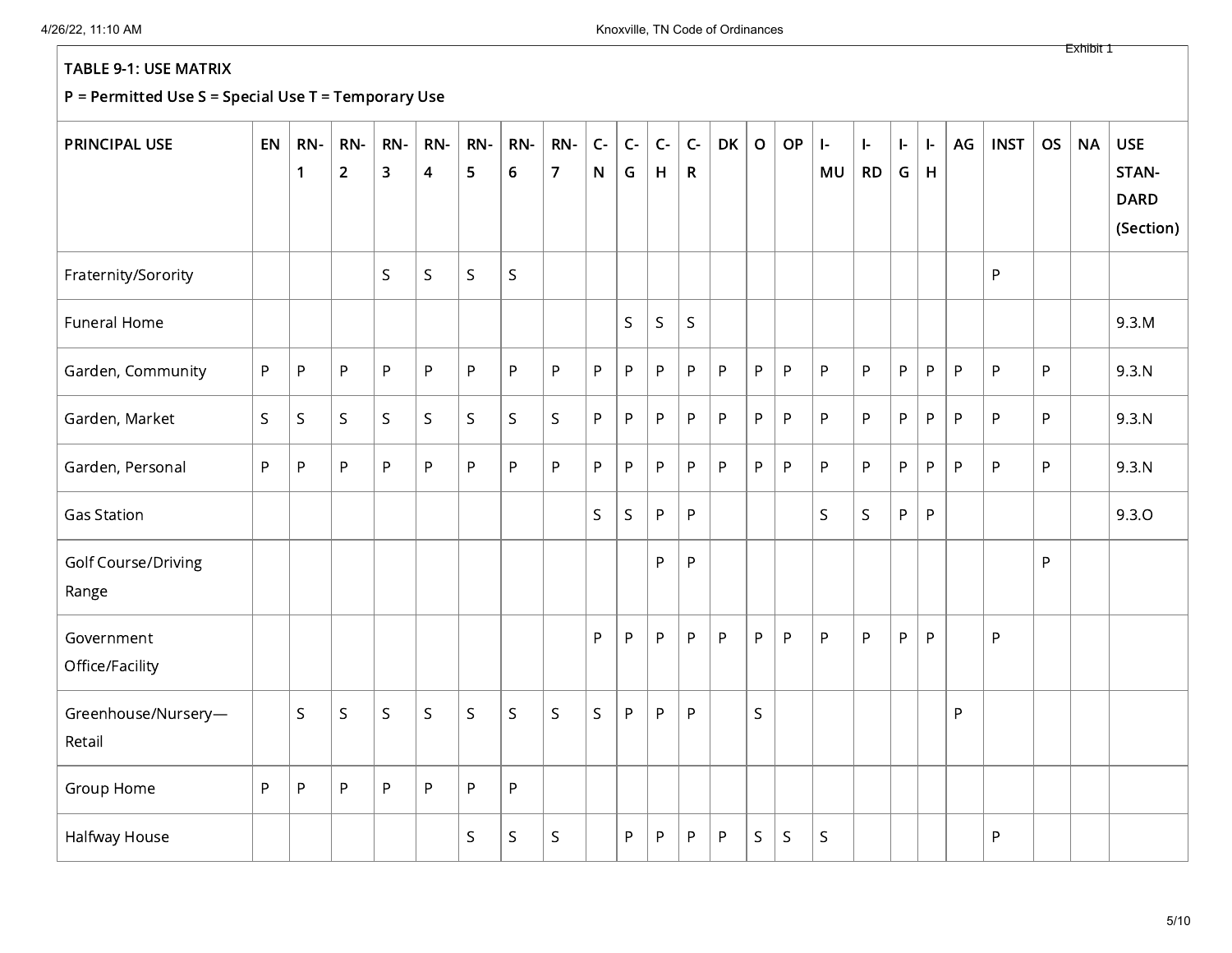| <b>PRINCIPAL USE</b>          | EN          | RN-<br>$\mathbf{1}$ | RN-<br>$\overline{2}$ | RN-<br>$\overline{\mathbf{3}}$ | RN-<br>$\overline{\mathbf{4}}$ | RN-<br>5    | RN-<br>$\boldsymbol{6}$ | RN-<br>$\overline{7}$ | $C-$<br>${\sf N}$ | $C-$<br>G   | $C-$<br>H   | $C -$<br>$\mathsf{R}$ | <b>DK</b> | $\mathbf{o}$ | OP           | $\mathbf{I}$ .<br>MU | $\mathsf{I}\text{-}$<br><b>RD</b> | $\vert$ -<br>G | $\mathbf{L}$<br>H | AG           | <b>INST</b>  | <b>OS</b>    | <b>NA</b> | <b>USE</b><br>STAN-<br><b>DARD</b><br>(Section) |
|-------------------------------|-------------|---------------------|-----------------------|--------------------------------|--------------------------------|-------------|-------------------------|-----------------------|-------------------|-------------|-------------|-----------------------|-----------|--------------|--------------|----------------------|-----------------------------------|----------------|-------------------|--------------|--------------|--------------|-----------|-------------------------------------------------|
| Fraternity/Sorority           |             |                     |                       | $\mathsf{S}$                   | $\mathsf S$                    | S.          | $\mathsf S$             |                       |                   |             |             |                       |           |              |              |                      |                                   |                |                   |              | P            |              |           |                                                 |
| Funeral Home                  |             |                     |                       |                                |                                |             |                         |                       |                   | S           | $\mathsf S$ | S.                    |           |              |              |                      |                                   |                |                   |              |              |              |           | 9.3.M                                           |
| Garden, Community             | P           | ${\sf P}$           | $\sf P$               | P                              | P                              | P           | P                       | ${\sf P}$             | $\mathsf{P}$      | P           | P           | P.                    | ${\sf P}$ | P            | P            | P                    | P                                 | P              | P                 | $\mathsf{P}$ | P            | P            |           | 9.3.N                                           |
| Garden, Market                | $\mathsf S$ | $\mathsf S$         | $\sf S$               | $\mathsf{S}$                   | $\mathsf S$                    | $\sf S$     | $\mathsf S$             | $\mathsf S$           | P                 | P           | P           | P                     | P         | P            | $\sf P$      | P                    | P                                 | P              | P                 | P            | P            | $\mathsf{P}$ |           | 9.3.N                                           |
| Garden, Personal              | P           | ${\sf P}$           | P                     | P                              | P                              | P           | P                       | P                     | P                 | P           | P.          | P                     | P         | P            | P            | P                    | P                                 | P.             | P                 | P            | P            | P            |           | 9.3.N                                           |
| <b>Gas Station</b>            |             |                     |                       |                                |                                |             |                         |                       | $\mathsf{S}$      | $\mathsf S$ | P           | P                     |           |              |              | $\mathsf S$          | $\mathsf S$                       | P              | P                 |              |              |              |           | 9.3.0                                           |
| Golf Course/Driving<br>Range  |             |                     |                       |                                |                                |             |                         |                       |                   |             | P           | P                     |           |              |              |                      |                                   |                |                   |              |              | P            |           |                                                 |
| Government<br>Office/Facility |             |                     |                       |                                |                                |             |                         |                       | P                 | P           | P           | P.                    | P         | P            | $\mathsf{P}$ | P                    | P                                 | P              | P                 |              | $\mathsf{P}$ |              |           |                                                 |
| Greenhouse/Nursery-<br>Retail |             | $\mathsf S$         | $\mathsf S$           | $\mathsf S$                    | $\mathsf S$                    | $\mathsf S$ | S                       | $\mathsf S$           | $\mathsf S$       | P           | P           | P                     |           | $\mathsf{S}$ |              |                      |                                   |                |                   | P            |              |              |           |                                                 |
| Group Home                    | P           | $\sf P$             | ${\sf P}$             | P                              | P                              | P           | P                       |                       |                   |             |             |                       |           |              |              |                      |                                   |                |                   |              |              |              |           |                                                 |
| Halfway House                 |             |                     |                       |                                |                                | S           | $\mathsf S$             | S                     |                   | P           | P.          | P                     | P         | S            | $\mathsf S$  | $\mathsf S$          |                                   |                |                   |              | P            |              |           |                                                 |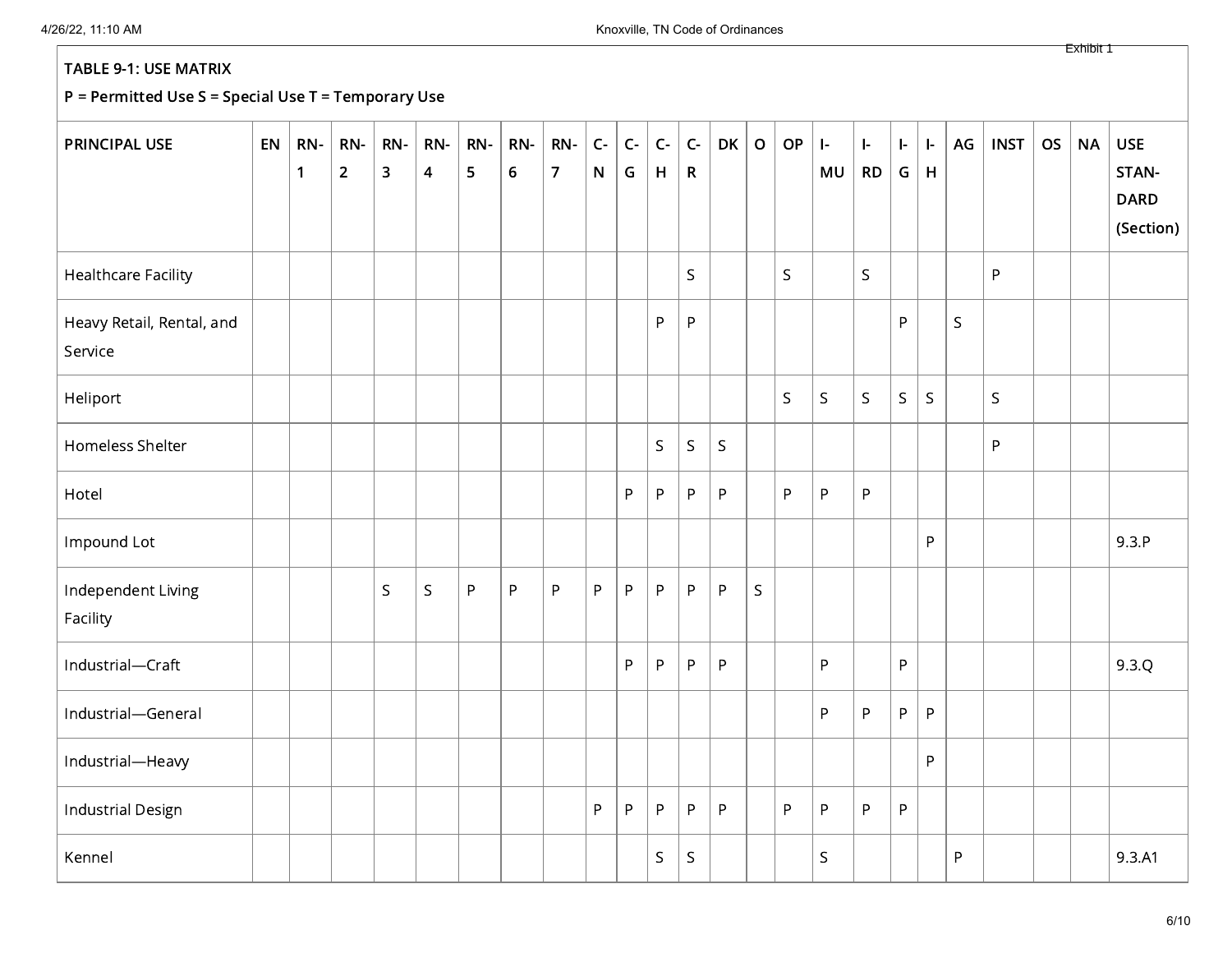| <b>PRINCIPAL USE</b>                 | EN | RN-<br>$\mathbf{1}$ | RN-<br>$\overline{2}$ | RN-<br>$\overline{\mathbf{3}}$ | RN-<br>4 | RN-<br>5 | RN-<br>$\boldsymbol{6}$ | RN-<br>$\overline{7}$ | $C -$<br>${\sf N}$ | $C-$<br>G | $C -$<br>H   | $\mathsf{C}\text{-}$<br>$\mathsf R$ | <b>DK</b>   | $\mathbf O$  | OP           | $\left  - \right $<br>MU | ŀ.<br><b>RD</b> | $\left\vert \cdot\right\vert$<br>G | $\vert$ -<br>H | AG           | <b>INST</b> | <b>OS</b> | <b>NA</b> | <b>USE</b><br>STAN-<br><b>DARD</b><br>(Section) |
|--------------------------------------|----|---------------------|-----------------------|--------------------------------|----------|----------|-------------------------|-----------------------|--------------------|-----------|--------------|-------------------------------------|-------------|--------------|--------------|--------------------------|-----------------|------------------------------------|----------------|--------------|-------------|-----------|-----------|-------------------------------------------------|
| <b>Healthcare Facility</b>           |    |                     |                       |                                |          |          |                         |                       |                    |           |              | $\mathsf S$                         |             |              | S            |                          | $\mathsf S$     |                                    |                |              | P           |           |           |                                                 |
| Heavy Retail, Rental, and<br>Service |    |                     |                       |                                |          |          |                         |                       |                    |           | P            | ${\sf P}$                           |             |              |              |                          |                 | P                                  |                | $\mathsf{S}$ |             |           |           |                                                 |
| Heliport                             |    |                     |                       |                                |          |          |                         |                       |                    |           |              |                                     |             |              | $\mathsf{S}$ | $\mathsf S$              | $\sf S$         | $\mathsf S$                        | $\mathsf S$    |              | $\mathsf S$ |           |           |                                                 |
| Homeless Shelter                     |    |                     |                       |                                |          |          |                         |                       |                    |           | $\mathsf S$  | $\sf S$                             | $\mathsf S$ |              |              |                          |                 |                                    |                |              | $\sf P$     |           |           |                                                 |
| Hotel                                |    |                     |                       |                                |          |          |                         |                       |                    | P         | P            | P                                   | ${\sf P}$   |              | P            | P                        | $\mathsf{P}$    |                                    |                |              |             |           |           |                                                 |
| Impound Lot                          |    |                     |                       |                                |          |          |                         |                       |                    |           |              |                                     |             |              |              |                          |                 |                                    | P              |              |             |           |           | 9.3.P                                           |
| Independent Living<br>Facility       |    |                     |                       | $\mathsf{S}$                   | S.       | P        | $\sf P$                 | ${\sf P}$             | P                  | P         | P            | P                                   | $\sf P$     | $\mathsf{S}$ |              |                          |                 |                                    |                |              |             |           |           |                                                 |
| Industrial-Craft                     |    |                     |                       |                                |          |          |                         |                       |                    | P         | $\mathsf{P}$ | ${\sf P}$                           | $\sf P$     |              |              | P                        |                 | P                                  |                |              |             |           |           | 9.3.Q                                           |
| Industrial-General                   |    |                     |                       |                                |          |          |                         |                       |                    |           |              |                                     |             |              |              | $\mathsf{P}$             | P               | P                                  | $\sf P$        |              |             |           |           |                                                 |
| Industrial-Heavy                     |    |                     |                       |                                |          |          |                         |                       |                    |           |              |                                     |             |              |              |                          |                 |                                    | P              |              |             |           |           |                                                 |
| <b>Industrial Design</b>             |    |                     |                       |                                |          |          |                         |                       | P                  | P         | P            | ${\sf P}$                           | ${\sf P}$   |              | $\mathsf{P}$ | P                        | $\mathsf{P}$    | ${\sf P}$                          |                |              |             |           |           |                                                 |
| Kennel                               |    |                     |                       |                                |          |          |                         |                       |                    |           | $\mathsf S$  | S                                   |             |              |              | $\mathsf S$              |                 |                                    |                | P            |             |           |           | 9.3.A1                                          |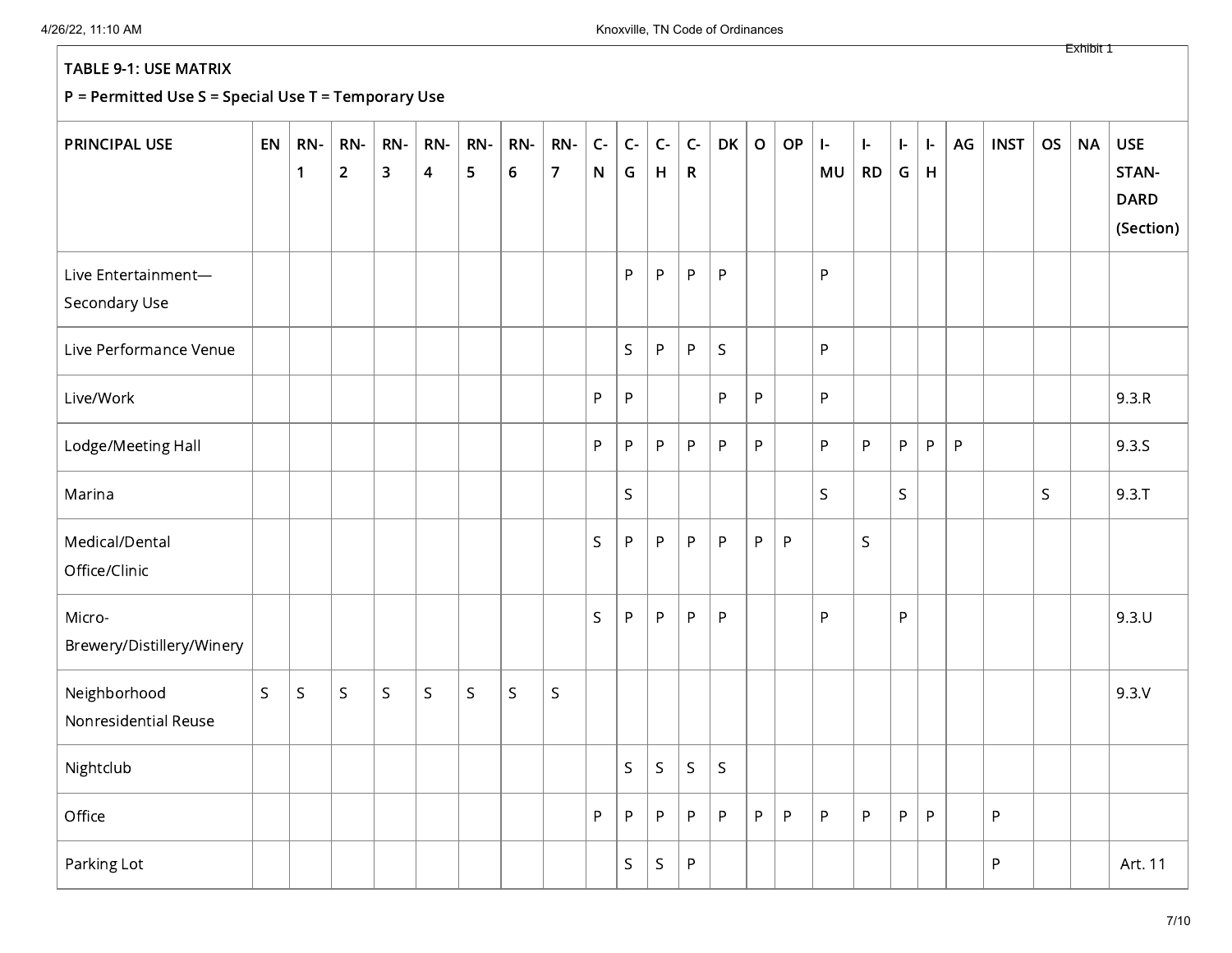## P = Permitted Use S = Special Use T = Temporary Use

| <b>PRINCIPAL USE</b>                 | EN          | RN-<br>$\mathbf{1}$ | RN-<br>$\overline{2}$ | RN-<br>$\overline{\mathbf{3}}$ | RN-<br>4 | RN-<br>5 | RN-<br>6 | RN-<br>$\overline{7}$ | $C -$<br>${\sf N}$ | $C -$<br>G   | $C-$<br>H   | $C -$<br>$\mathsf{R}$ | <b>DK</b>   | $\mathbf O$ | OP           | $\vert$ -<br>MU | $\mathbf{I}$<br><b>RD</b> | $\vert$ -<br>G | ŀ.<br>H | AG | <b>INST</b> | <b>OS</b> | <b>NA</b> | <b>USE</b><br>STAN-<br><b>DARD</b><br>(Section) |
|--------------------------------------|-------------|---------------------|-----------------------|--------------------------------|----------|----------|----------|-----------------------|--------------------|--------------|-------------|-----------------------|-------------|-------------|--------------|-----------------|---------------------------|----------------|---------|----|-------------|-----------|-----------|-------------------------------------------------|
| Live Entertainment-<br>Secondary Use |             |                     |                       |                                |          |          |          |                       |                    | P            | P           | P                     | P           |             |              | P               |                           |                |         |    |             |           |           |                                                 |
| Live Performance Venue               |             |                     |                       |                                |          |          |          |                       |                    | $\mathsf{S}$ | P           | P                     | S           |             |              | P               |                           |                |         |    |             |           |           |                                                 |
| Live/Work                            |             |                     |                       |                                |          |          |          |                       | $\mathsf{P}$       | P            |             |                       | P           | P           |              | $\sf P$         |                           |                |         |    |             |           |           | 9.3.R                                           |
| Lodge/Meeting Hall                   |             |                     |                       |                                |          |          |          |                       | $\mathsf{P}$       | P            | P           | P                     | P           | P           |              | P               | P                         | P              | P       | P  |             |           |           | 9.3.S                                           |
| Marina                               |             |                     |                       |                                |          |          |          |                       |                    | $\mathsf S$  |             |                       |             |             |              | $\mathsf S$     |                           | $\mathsf{S}$   |         |    |             | S         |           | $9.3 \cdot T$                                   |
| Medical/Dental<br>Office/Clinic      |             |                     |                       |                                |          |          |          |                       | $\mathsf{S}$       | P            | P           | P                     | P           | P           | P            |                 | $\mathsf{S}$              |                |         |    |             |           |           |                                                 |
| Micro-<br>Brewery/Distillery/Winery  |             |                     |                       |                                |          |          |          |                       | $\mathsf{S}$       | P            | P           | P                     | P           |             |              | P               |                           | P              |         |    |             |           |           | 9.3U                                            |
| Neighborhood<br>Nonresidential Reuse | $\mathsf S$ | S                   | $\mathsf{S}$          | $\mathsf S$                    | S        | S        | S        | S.                    |                    |              |             |                       |             |             |              |                 |                           |                |         |    |             |           |           | 9.3.V                                           |
| Nightclub                            |             |                     |                       |                                |          |          |          |                       |                    | $\mathsf S$  | $\mathsf S$ | S.                    | $\mathsf S$ |             |              |                 |                           |                |         |    |             |           |           |                                                 |
| Office                               |             |                     |                       |                                |          |          |          |                       | P                  | P            | P           | P                     | $\sf P$     | P.          | $\mathsf{P}$ | ${\sf P}$       | P                         | P              | P       |    | ${\sf P}$   |           |           |                                                 |
| Parking Lot                          |             |                     |                       |                                |          |          |          |                       |                    | $\mathsf S$  | $\sf S$     | P                     |             |             |              |                 |                           |                |         |    | $\sf P$     |           |           | Art. 11                                         |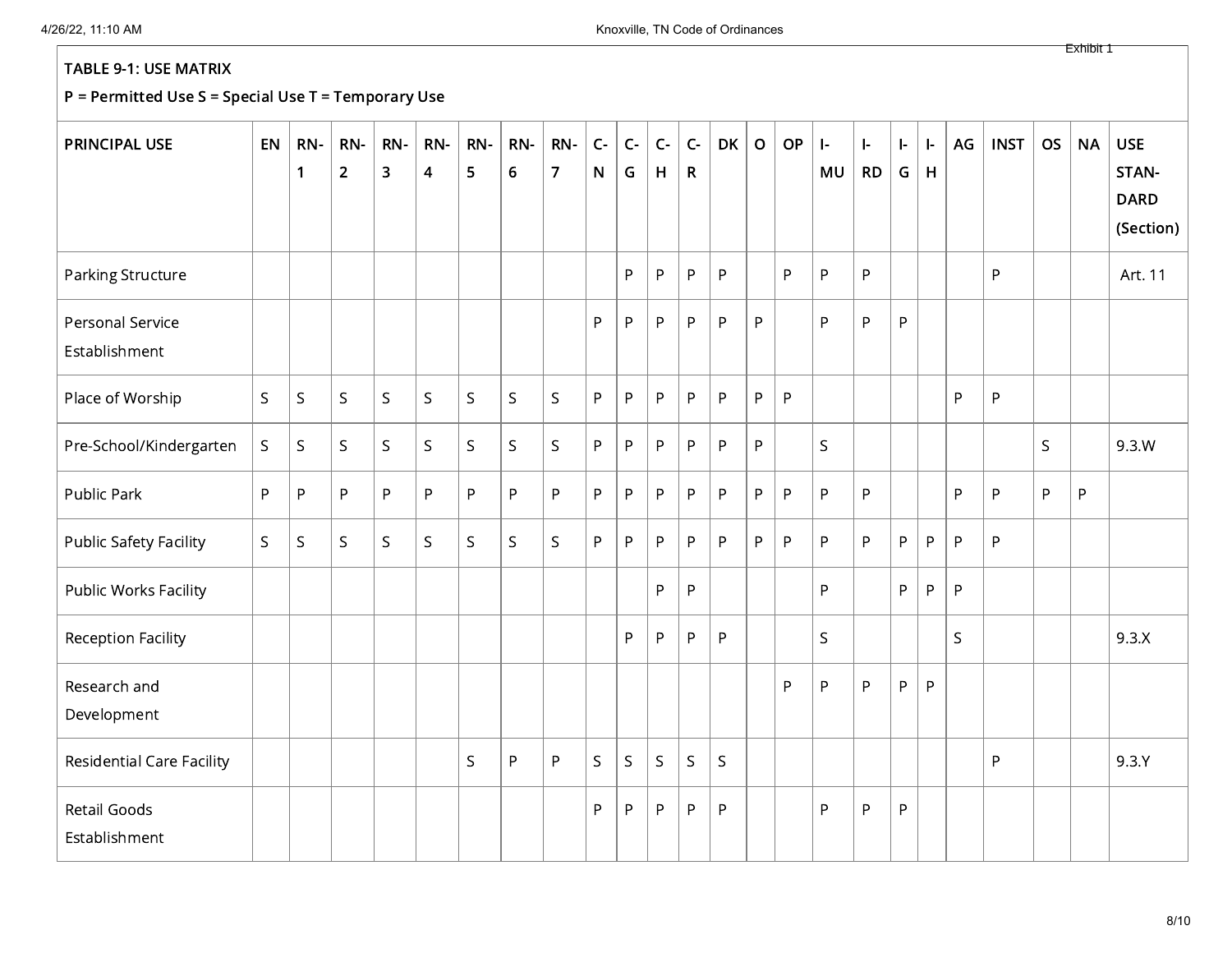| <b>PRINCIPAL USE</b>                 | EN           | RN-<br>$\mathbf{1}$ | RN-<br>$\overline{2}$ | RN-<br>$\overline{3}$ | RN-<br>$\overline{\mathbf{4}}$ | RN-<br>5     | RN-<br>$\boldsymbol{6}$ | RN-<br>$\overline{7}$ | $C-$<br>N    | $C-$<br>G    | $C-$<br>H | $C -$<br>$\mathsf{R}$ | <b>DK</b>   | $\mathbf O$ | OP           | $\mathbf{I}$<br><b>MU</b> | $\mathbf{I}$<br><b>RD</b> | ŀ.<br>G | ŀ.<br>H | AG           | <b>INST</b> | <b>OS</b> | <b>NA</b>    | <b>USE</b><br>STAN-<br><b>DARD</b><br>(Section) |
|--------------------------------------|--------------|---------------------|-----------------------|-----------------------|--------------------------------|--------------|-------------------------|-----------------------|--------------|--------------|-----------|-----------------------|-------------|-------------|--------------|---------------------------|---------------------------|---------|---------|--------------|-------------|-----------|--------------|-------------------------------------------------|
| Parking Structure                    |              |                     |                       |                       |                                |              |                         |                       |              | P            | P         | P                     | ${\sf P}$   |             | P            | P                         | $\sf P$                   |         |         |              | P           |           |              | Art. 11                                         |
| Personal Service<br>Establishment    |              |                     |                       |                       |                                |              |                         |                       | P            | P            | P         | P                     | ${\sf P}$   | P           |              | P                         | P                         | P       |         |              |             |           |              |                                                 |
| Place of Worship                     | $\mathsf{S}$ | $\mathsf S$         | $\sf S$               | $\mathsf S$           | S.                             | $\mathsf S$  | $\mathsf S$             | $\mathsf S$           | P            | P            | P.        | P                     | P           | P           | $\mathsf{P}$ |                           |                           |         |         | P            | P           |           |              |                                                 |
| Pre-School/Kindergarten              | $\mathsf S$  | $\mathsf S$         | $\mathsf S$           | $\mathsf{S}$          | S.                             | $\mathsf S$  | $\mathsf{S}$            | $\sf S$               | P            | P.           | P         | P.                    | ${\sf P}$   | P           |              | $\mathsf{S}$              |                           |         |         |              |             | S         |              | 9.3.W                                           |
| Public Park                          | P            | ${\sf P}$           | $\sf P$               | P                     | P                              | P            | P                       | P                     | P            | P            | P         | P                     | $\sf P$     | P           | P            | P                         | P                         |         |         | P            | $\sf P$     | P         | $\mathsf{P}$ |                                                 |
| <b>Public Safety Facility</b>        | $\mathsf{S}$ | $\mathsf S$         | $\mathsf{S}$          | $\mathsf{S}$          | S.                             | S            | $\mathsf S$             | $\mathsf S$           | P            | P.           | P         | P                     | P           | P           | P            | P                         | P                         | P       | P       | P            | P           |           |              |                                                 |
| Public Works Facility                |              |                     |                       |                       |                                |              |                         |                       |              |              | P         | P                     |             |             |              | P                         |                           | P       | P       | $\mathsf{P}$ |             |           |              |                                                 |
| <b>Reception Facility</b>            |              |                     |                       |                       |                                |              |                         |                       |              | P            | P         | P                     | P           |             |              | $\mathsf S$               |                           |         |         | S            |             |           |              | 9.3.X                                           |
| Research and<br>Development          |              |                     |                       |                       |                                |              |                         |                       |              |              |           |                       |             |             | P            | P                         | P                         | P       | P       |              |             |           |              |                                                 |
| <b>Residential Care Facility</b>     |              |                     |                       |                       |                                | $\mathsf{S}$ | P                       | $\mathsf{P}$          | $\mathsf{S}$ | $\mathsf{S}$ | S.        | $\mathsf S$           | $\mathsf S$ |             |              |                           |                           |         |         |              | P           |           |              | 9.3Y                                            |
| <b>Retail Goods</b><br>Establishment |              |                     |                       |                       |                                |              |                         |                       | P            | P            | P         | P                     | P           |             |              | P                         | P                         | P       |         |              |             |           |              |                                                 |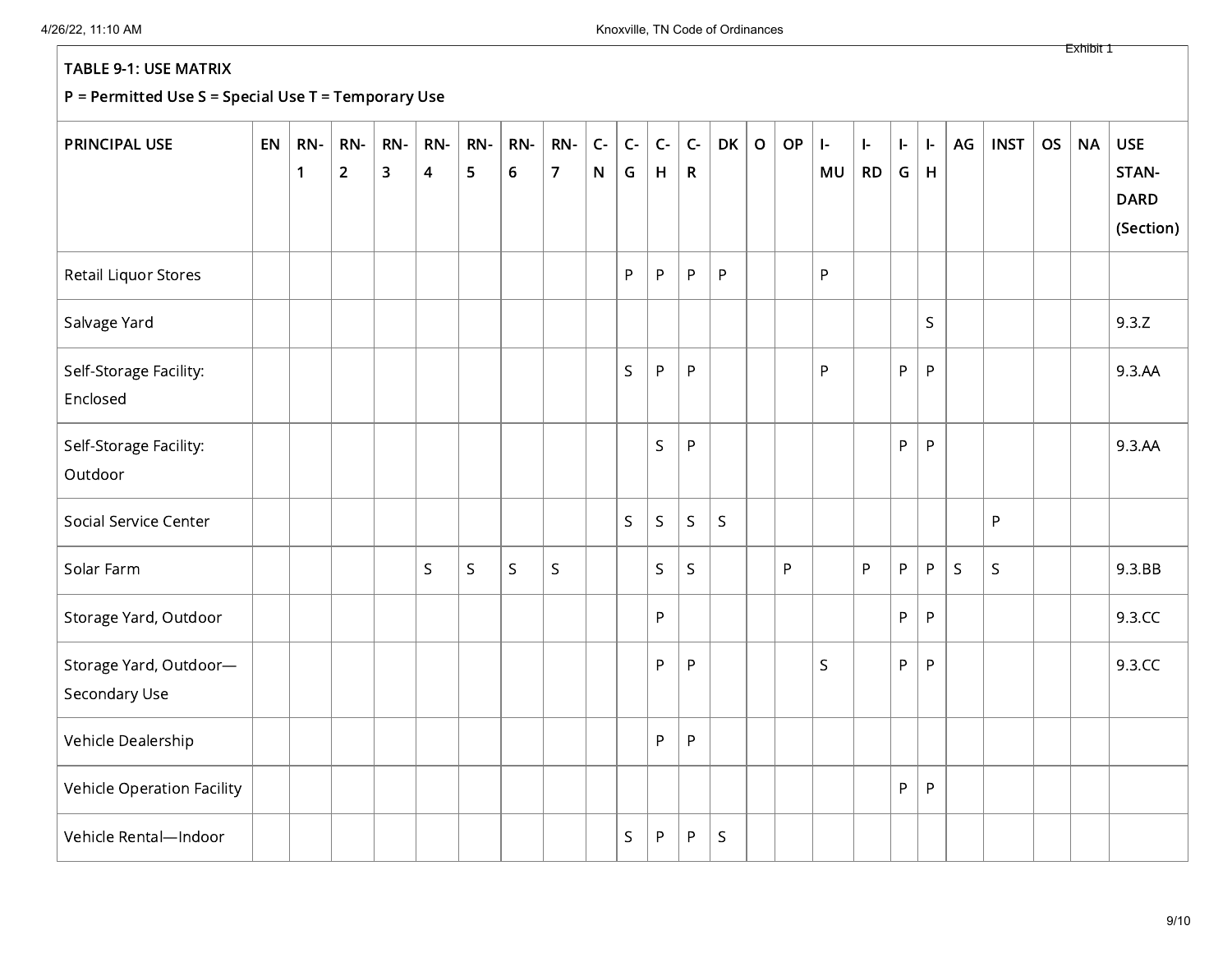#### P = Permitted Use S = Special Use T = Temporary Use

| <b>PRINCIPAL USE</b>                    | EN | RN-<br>$\mathbf{1}$ | RN-<br>$\overline{2}$ | RN-<br>3 | RN-<br>$\overline{\mathbf{4}}$ | RN-<br>5 | RN-<br>$\boldsymbol{6}$ | RN-<br>$\overline{7}$ | $\mathsf{C}\text{-}$<br>N | $C -$<br>G | $C -$<br>H | $\mathsf{C}\text{-}$<br>$\mathsf{R}$ | <b>DK</b>   | $\mathbf O$ | OP | $\mathbf{I}$<br>MU | $\left  - \right $<br><b>RD</b> | $\left  \cdot \right $<br>${\mathsf G}$ | ŀ.<br>H     | AG | <b>INST</b> | <b>OS</b> | <b>NA</b> | <b>USE</b><br>STAN-      |
|-----------------------------------------|----|---------------------|-----------------------|----------|--------------------------------|----------|-------------------------|-----------------------|---------------------------|------------|------------|--------------------------------------|-------------|-------------|----|--------------------|---------------------------------|-----------------------------------------|-------------|----|-------------|-----------|-----------|--------------------------|
|                                         |    |                     |                       |          |                                |          |                         |                       |                           |            |            |                                      |             |             |    |                    |                                 |                                         |             |    |             |           |           | <b>DARD</b><br>(Section) |
| Retail Liquor Stores                    |    |                     |                       |          |                                |          |                         |                       |                           | P          | P          | $\sf P$                              | P           |             |    | P                  |                                 |                                         |             |    |             |           |           |                          |
| Salvage Yard                            |    |                     |                       |          |                                |          |                         |                       |                           |            |            |                                      |             |             |    |                    |                                 |                                         | $\mathsf S$ |    |             |           |           | 9.3.Z                    |
| Self-Storage Facility:<br>Enclosed      |    |                     |                       |          |                                |          |                         |                       |                           | $\sf S$    | P          | ${\sf P}$                            |             |             |    | P                  |                                 | ${\sf P}$                               | P           |    |             |           |           | 9.3.AA                   |
| Self-Storage Facility:<br>Outdoor       |    |                     |                       |          |                                |          |                         |                       |                           |            | S          | P                                    |             |             |    |                    |                                 | ${\sf P}$                               | P           |    |             |           |           | 9.3.AA                   |
| Social Service Center                   |    |                     |                       |          |                                |          |                         |                       |                           | S.         | S          | S                                    | $\mathsf S$ |             |    |                    |                                 |                                         |             |    | P           |           |           |                          |
| Solar Farm                              |    |                     |                       |          | $\mathsf S$                    | $\sf S$  | $\mathsf S$             | $\mathsf S$           |                           |            | S          | $\mathsf S$                          |             |             | P  |                    | P                               | P                                       | P           | S  | S           |           |           | 9.3.BB                   |
| Storage Yard, Outdoor                   |    |                     |                       |          |                                |          |                         |                       |                           |            | P          |                                      |             |             |    |                    |                                 | P                                       | P           |    |             |           |           | 9.3.CC                   |
| Storage Yard, Outdoor-<br>Secondary Use |    |                     |                       |          |                                |          |                         |                       |                           |            | P          | ${\sf P}$                            |             |             |    | $\mathsf{S}$       |                                 | $\sf P$                                 | P           |    |             |           |           | 9.3.CC                   |
| Vehicle Dealership                      |    |                     |                       |          |                                |          |                         |                       |                           |            | P          | P                                    |             |             |    |                    |                                 |                                         |             |    |             |           |           |                          |
| Vehicle Operation Facility              |    |                     |                       |          |                                |          |                         |                       |                           |            |            |                                      |             |             |    |                    |                                 | P                                       | P           |    |             |           |           |                          |
| Vehicle Rental-Indoor                   |    |                     |                       |          |                                |          |                         |                       |                           | S          | P          | P                                    | $\mathsf S$ |             |    |                    |                                 |                                         |             |    |             |           |           |                          |